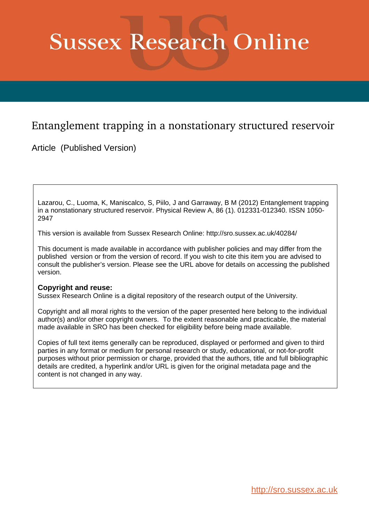# <span id="page-0-0"></span>**Sussex Research Online**

## Entanglement trapping in a nonstationary structured reservoir

Article (Published Version)

Lazarou, C., Luoma, K, Maniscalco, S, Piilo, J and Garraway, B M (2012) Entanglement trapping in a nonstationary structured reservoir. Physical Review A, 86 (1). 012331-012340. ISSN 1050- 2947

This version is available from Sussex Research Online: http://sro.sussex.ac.uk/40284/

This document is made available in accordance with publisher policies and may differ from the published version or from the version of record. If you wish to cite this item you are advised to consult the publisher's version. Please see the URL above for details on accessing the published version.

### **Copyright and reuse:**

Sussex Research Online is a digital repository of the research output of the University.

Copyright and all moral rights to the version of the paper presented here belong to the individual author(s) and/or other copyright owners. To the extent reasonable and practicable, the material made available in SRO has been checked for eligibility before being made available.

Copies of full text items generally can be reproduced, displayed or performed and given to third parties in any format or medium for personal research or study, educational, or not-for-profit purposes without prior permission or charge, provided that the authors, title and full bibliographic details are credited, a hyperlink and/or URL is given for the original metadata page and the content is not changed in any way.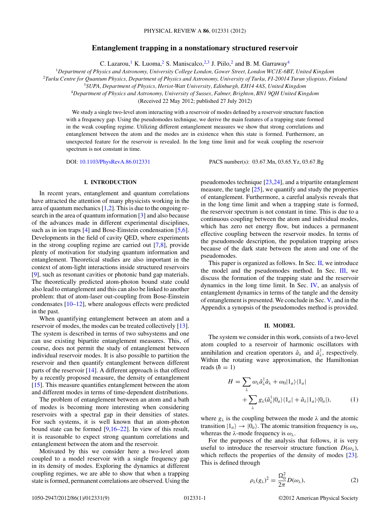#### **Entanglement trapping in a nonstationary structured reservoir**

C. Lazarou,<sup>1</sup> K. Luoma,<sup>2</sup> S. Maniscalco,<sup>2,3</sup> J. Piilo,<sup>2</sup> and B. M. Garraway<sup>4</sup>

<span id="page-1-0"></span><sup>1</sup>*Department of Physics and Astronomy, University College London, Gower Street, London WC1E-6BT, United Kingdom*

<sup>2</sup>*Turku Centre for Quantum Physics, Department of Physics and Astronomy, University of Turku, FI-20014 Turun yliopisto, Finland*

<sup>3</sup>*SUPA, Department of Physics, Heriot-Watt University, Edinburgh, EH14 4AS, United Kingdom*

<sup>4</sup>*Department of Physics and Astronomy, University of Sussex, Falmer, Brighton, BN1 9QH United Kingdom*

(Received 22 May 2012; published 27 July 2012)

We study a single two-level atom interacting with a reservoir of modes defined by a reservoir structure function with a frequency gap. Using the pseudomodes technique, we derive the main features of a trapping state formed in the weak coupling regime. Utilizing different entanglement measures we show that strong correlations and entanglement between the atom and the modes are in existence when this state is formed. Furthermore, an unexpected feature for the reservoir is revealed. In the long time limit and for weak coupling the reservoir spectrum is not constant in time.

DOI: [10.1103/PhysRevA.86.012331](http://dx.doi.org/10.1103/PhysRevA.86.012331) PACS number(s): 03.67.Mn, 03.65.Yz, 03.67.Bg

#### **I. INTRODUCTION**

In recent years, entanglement and quantum correlations have attracted the attention of many physicists working in the area of quantum mechanics  $[1,2]$ . This is due to the ongoing research in the area of quantum information [\[3\]](#page-8-0) and also because of the advances made in different experimental disciplines, such as in ion traps [\[4\]](#page-8-0) and Bose-Einstein condensation [\[5,6\]](#page-8-0). Developments in the field of cavity QED, where experiments in the strong coupling regime are carried out [\[7,8\]](#page-8-0), provide plenty of motivation for studying quantum information and entanglement. Theoretical studies are also important in the context of atom-light interactions inside structured reservoirs [\[9\]](#page-8-0), such as resonant cavities or photonic band gap materials. The theoretically predicted atom-photon bound state could also lead to entanglement and this can also be linked to another problem: that of atom-laser out-coupling from Bose-Einstein condensates  $[10-12]$ , where analogous effects were predicted in the past.

When quantifying entanglement between an atom and a reservoir of modes, the modes can be treated collectively [\[13\]](#page-8-0). The system is described in terms of two subsystems and one can use existing bipartite entanglement measures. This, of course, does not permit the study of entanglement between individual reservoir modes. It is also possible to partition the reservoir and then quantify entanglement between different parts of the reservoir [\[14\]](#page-8-0). A different approach is that offered by a recently proposed measure, the density of entanglement [\[15\]](#page-8-0). This measure quantifies entanglement between the atom and different modes in terms of time-dependent distributions.

The problem of entanglement between an atom and a bath of modes is becoming more interesting when considering reservoirs with a spectral gap in their densities of states. For such systems, it is well known that an atom-photon bound state can be formed [\[9,16–22\]](#page-8-0). In view of this result, it is reasonable to expect strong quantum correlations and entanglement between the atom and the reservoir.

Motivated by this we consider here a two-level atom coupled to a model reservoir with a single frequency gap in its density of modes. Exploring the dynamics at different coupling regimes, we are able to show that when a trapping state is formed, permanent correlations are observed. Using the

pseudomodes technique [\[23,24\]](#page-8-0), and a tripartite entanglement measure, the tangle [\[25\]](#page-8-0), we quantify and study the properties of entanglement. Furthermore, a careful analysis reveals that in the long time limit and when a trapping state is formed, the reservoir spectrum is not constant in time. This is due to a continuous coupling between the atom and individual modes, which has zero net energy flow, but induces a permanent effective coupling between the reservoir modes. In terms of the pseudomode description, the population trapping arises because of the dark state between the atom and one of the pseudomodes.

This paper is organized as follows. In Sec. [II,](#page-0-0) we introduce the model and the pseudomodes method. In Sec. III, we discuss the formation of the trapping state and the reservoir dynamics in the long time limit. In Sec. [IV,](#page-3-0) an analysis of entanglement dynamics in terms of the tangle and the density of entanglement is presented. We conclude in Sec. [V,](#page-6-0) and in the Appendix a synopsis of the pseudomodes method is provided.

#### **II. MODEL**

The system we consider in this work, consists of a two-level atom coupled to a reservoir of harmonic oscillators with annihilation and creation operators  $\hat{a}_{\lambda}$  and  $\hat{a}_{\lambda}^{\dagger}$ , respectively. Within the rotating wave approximation, the Hamiltonian reads  $(h = 1)$ 

$$
H = \sum_{\lambda} \omega_{\lambda} \hat{a}_{\lambda}^{\dagger} \hat{a}_{\lambda} + \omega_{0} |1_{a}\rangle\langle1_{a}|
$$
  
+ 
$$
\sum_{\lambda} g_{\lambda}(\hat{a}_{\lambda}^{\dagger} |0_{a}\rangle\langle1_{a}| + \hat{a}_{\lambda} |1_{a}\rangle\langle0_{a}|), \qquad (1)
$$

where  $g_{\lambda}$  is the coupling between the mode  $\lambda$  and the atomic transition  $|1_a\rangle \rightarrow |0_a\rangle$ . The atomic transition frequency is  $\omega_0$ , whereas the  $\lambda$ -mode frequency is  $\omega_{\lambda}$ .

For the purposes of the analysis that follows, it is very useful to introduce the reservoir structure function  $D(\omega_\lambda)$ , which reflects the properties of the density of modes [\[23\]](#page-8-0). This is defined through

$$
\rho_{\lambda}(g_{\lambda})^2 = \frac{\Omega_0^2}{2\pi} D(\omega_{\lambda}),\tag{2}
$$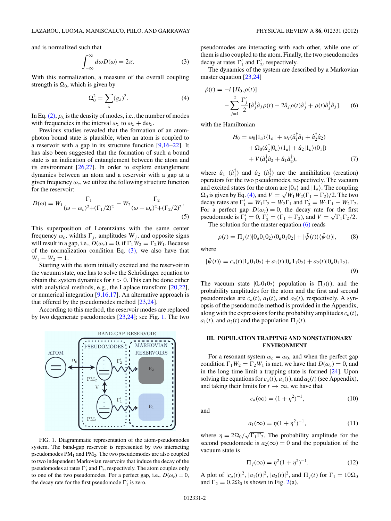<span id="page-2-0"></span>and is normalized such that

$$
\int_{-\infty}^{\infty} d\omega D(\omega) = 2\pi.
$$
 (3)

With this normalization, a measure of the overall coupling strength is  $\Omega_0$ , which is given by

$$
\Omega_0^2 = \sum_{\lambda} (g_{\lambda})^2. \tag{4}
$$

In Eq. [\(2\),](#page-0-0)  $\rho_{\lambda}$  is the density of modes, i.e., the number of modes with frequencies in the interval  $\omega_{\lambda}$  to  $\omega_{\lambda} + d\omega_{\lambda}$ .

Previous studies revealed that the formation of an atomphoton bound state is plausible, when an atom is coupled to a reservoir with a gap in its structure function  $[9,16-22]$ . It has also been suggested that the formation of such a bound state is an indication of entanglement between the atom and its environment [\[26,27\]](#page-8-0). In order to explore entanglement dynamics between an atom and a reservoir with a gap at a given frequency  $\omega_c$ , we utilize the following structure function for the reservoir:

$$
D(\omega) = W_1 \frac{\Gamma_1}{(\omega - \omega_c)^2 + (\Gamma_1/2)^2} - W_2 \frac{\Gamma_2}{(\omega - \omega_c)^2 + (\Gamma_2/2)^2}.
$$
\n(5)

This superposition of Lorentzians with the same center frequency  $\omega_c$ , widths  $\Gamma_i$ , amplitudes W<sub>i</sub>, and opposite signs will result in a gap, i.e.,  $D(\omega_c) = 0$ , if  $\Gamma_1 W_2 = \Gamma_2 W_1$ . Because of the normalization condition Eq.  $(3)$ , we also have that  $W_1 - W_2 = 1.$ 

Starting with the atom initially excited and the reservoir in the vacuum state, one has to solve the Schrödinger equation to obtain the system dynamics for  $t > 0$ . This can be done either with analytical methods, e.g., the Laplace transform [\[20,22\]](#page-8-0), or numerical integration  $[9,16,17]$ . An alternative approach is that offered by the pseudomodes method [\[23,24\]](#page-8-0).

According to this method, the reservoir modes are replaced by two degenerate pseudomodes [\[23,24\]](#page-8-0); see Fig. [1.](#page-1-0) The two



FIG. 1. Diagrammatic representation of the atom-pseudomodes system. The band-gap reservoir is represented by two interacting pseudomodes  $PM_1$  and  $PM_2$ . The two pseudomodes are also coupled to two independent Markovian reservoirs that induce the decay of the pseudomodes at rates  $\Gamma'_1$  and  $\Gamma'_2$ , respectively. The atom couples only to one of the two pseudomodes. For a perfect gap, i.e.,  $D(\omega_c) = 0$ , the decay rate for the first pseudomode  $\Gamma'_1$  is zero.

pseudomodes are interacting with each other, while one of them is also coupled to the atom. Finally, the two pseudomodes decay at rates  $\Gamma'_1$  and  $\Gamma'_2$ , respectively.

The dynamics of the system are described by a Markovian master equation [\[23,24\]](#page-8-0)

$$
\dot{\rho}(t) = -i [H_0, \rho(t)] \n- \sum_{j=1}^{2} \frac{\Gamma'_j}{2} [\hat{a}_j^{\dagger} \hat{a}_j \rho(t) - 2 \hat{a}_j \rho(t) \hat{a}_j^{\dagger} + \rho(t) \hat{a}_j^{\dagger} \hat{a}_j],
$$
\n(6)

with the Hamiltonian

$$
H_0 = \omega_0 |1_a\rangle\langle 1_a| + \omega_c(\hat{a}_1^\dagger \hat{a}_1 + \hat{a}_2^\dagger \hat{a}_2)
$$
  
+ 
$$
\Omega_0(\hat{a}_2^\dagger |0_a\rangle\langle 1_a| + \hat{a}_2 |1_a\rangle\langle 0_1|)
$$
  
+ 
$$
V(\hat{a}_1^\dagger \hat{a}_2 + \hat{a}_1 \hat{a}_2^\dagger),
$$
 (7)

where  $\hat{a}_1$  ( $\hat{a}_1^{\dagger}$ ) and  $\hat{a}_2$  ( $\hat{a}_2^{\dagger}$ ) are the annihilation (creation) operators for the two pseudomodes, respectively. The vacuum and excited states for the atom are  $|0_a\rangle$  and  $|1_a\rangle$ . The coupling  $\Omega_0$  is given by Eq. [\(4\),](#page-1-0) and  $V = \sqrt{W_1 W_2} (\Gamma_1 - \Gamma_2)/2$ . The two decay rates are  $\Gamma'_1 = W_1 \Gamma_2 - W_2 \Gamma_1$  and  $\Gamma'_2 = W_1 \Gamma_1 - W_2 \Gamma_2$ . For a perfect gap  $D(\omega_c) = 0$ , the decay rate for the first pseudomode is  $\Gamma'_1 = 0$ ,  $\Gamma'_2 = (\Gamma_1 + \Gamma_2)$ , and  $V = \sqrt{\Gamma_1 \Gamma_2}/2$ .

The solution for the master equation  $(6)$  reads

$$
\rho(t) = \Pi_j(t) |0_a 0_1 0_2\rangle \langle 0_a 0_1 0_2| + |\tilde{\psi}(t)\rangle \langle \tilde{\psi}(t)|, \tag{8}
$$

where

$$
|\tilde{\psi}(t)\rangle = c_a(t)|1_a0_10_2\rangle + a_1(t)|0_a1_10_2\rangle + a_2(t)|0_a0_11_2\rangle.
$$
\n(9)

The vacuum state  $|0_a 0_1 0_2\rangle$  population is  $\Pi_j(t)$ , and the probability amplitudes for the atom and the first and second pseudomodes are  $c_a(t)$ ,  $a_1(t)$ , and  $a_2(t)$ , respectively. A synopsis of the pseudomode method is provided in the Appendix, along with the expressions for the probability amplitudes  $c_a(t)$ ,  $a_1(t)$ , and  $a_2(t)$  and the population  $\Pi_i(t)$ .

#### **III. POPULATION TRAPPING AND NONSTATIONARY ENVIRONMENT**

For a resonant system  $\omega_c = \omega_0$ , and when the perfect gap condition  $\Gamma_1 W_2 = \Gamma_2 W_1$  is met, we have that  $D(\omega_c) = 0$ , and in the long time limit a trapping state is formed [\[24\]](#page-8-0). Upon solving the equations for  $c_a(t)$ ,  $a_1(t)$ , and  $a_2(t)$  (see Appendix), and taking their limits for  $t \to \infty$ , we have that

and

$$
c_a(\infty) = (1 + \eta^2)^{-1},\tag{10}
$$

$$
a_1(\infty) = \eta (1 + \eta^2)^{-1}, \tag{11}
$$

where  $\eta = 2\Omega_0/\sqrt{\Gamma_1\Gamma_2}$ . The probability amplitude for the second pseudomode is  $a_2(\infty) = 0$  and the population of the vacuum state is

$$
\Pi_j(\infty) = \eta^2 (1 + \eta^2)^{-1}.
$$
 (12)

A plot of  $|c_a(t)|^2$ ,  $|a_1(t)|^2$ ,  $|a_2(t)|^2$ , and  $\Pi_j(t)$  for  $\Gamma_1 = 10\Omega_0$ and  $\Gamma_2 = 0.2\Omega_0$  is shown in Fig. 2(a).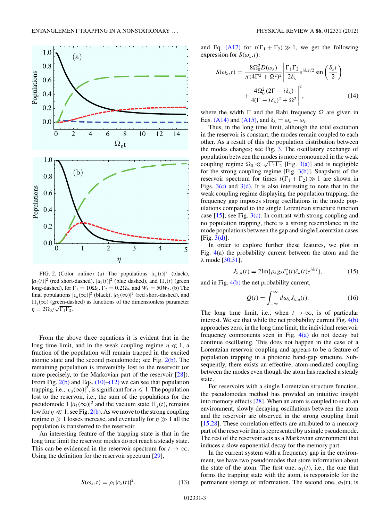<span id="page-3-0"></span>

FIG. 2. (Color online) (a) The populations  $|c_a(t)|^2$  (black),  $|a_1(t)|^2$  (red short-dashed),  $|a_2(t)|^2$  (blue dashed), and  $\Pi_j(t)$  (green long-dashed), for  $\Gamma_1 = 10\Omega_0$ ,  $\Gamma_2 = 0.2\Omega_0$ , and  $W_1 = 50W_2$ . (b) The final populations  $|c_a(\infty)|^2$  (black),  $|a_1(\infty)|^2$  (red short-dashed), and  $\Pi_i(\infty)$  (green-dashed) as functions of the dimensionless parameter  $\eta = 2\Omega_0/\sqrt{\Gamma_1\Gamma_2}.$ 

From the above three equations it is evident that in the long time limit, and in the weak coupling regime  $\eta \ll 1$ , a fraction of the population will remain trapped in the excited atomic state and the second pseudomode; see Fig.  $2(b)$ . The remaining population is irreversibly lost to the reservoir (or more precisely, to the Markovian part of the reservoir  $[28]$ ). From Fig.  $2(b)$  and Eqs. [\(10\)–\(12\)](#page-1-0) we can see that population trapping, i.e.,  $|c_a(\infty)|^2$ , is significant for  $\eta \leqslant 1$ . The population lost to the reservoir, i.e., the sum of the populations for the pseudomode 1  $|a_1(\infty)|^2$  and the vacuum state  $\Pi_j(t)$ , remains low for  $\eta \ll 1$ ; see Fig. [2\(b\).](#page-2-0) As we move to the strong coupling regime  $\eta \geq 1$  losses increase, and eventually for  $\eta \gg 1$  all the population is transferred to the reservoir.

An interesting feature of the trapping state is that in the long time limit the reservoir modes do not reach a steady state. This can be evidenced in the reservoir spectrum for  $t \to \infty$ . Using the definition for the reservoir spectrum [\[29\]](#page-8-0),

$$
S(\omega_{\lambda},t) = \rho_{\lambda}|c_{\lambda}(t)|^2, \qquad (13)
$$

and Eq. [\(A17\)](#page-7-0) for  $t(\Gamma_1 + \Gamma_2) \gg 1$ , we get the following expression for  $S(\omega_{\lambda},t)$ :

$$
S(\omega_{\lambda},t) = \frac{8\Omega_0^2 D(\omega_{\lambda})}{\pi (4\Gamma^2 + \Omega^2)^2} \left| \frac{\Gamma_1 \Gamma_2}{2\delta_{\lambda}} e^{i\delta_{\lambda}t/2} \sin\left(\frac{\delta_{\lambda}t}{2}\right) + \frac{4\Omega_0^2 (2\Gamma - i\delta_{\lambda})}{4(\Gamma - i\delta_{\lambda})^2 + \Omega^2} \right|^2, \tag{14}
$$

where the width  $\Gamma$  and the Rabi frequency  $\Omega$  are given in Eqs. [\(A14\)](#page-7-0) and [\(A15\),](#page-7-0) and  $\delta_{\lambda} = \omega_{\lambda} - \omega_c$ .

Thus, in the long time limit, although the total excitation in the reservoir is constant, the modes remain coupled to each other. As a result of this the population distribution between the modes changes; see Fig. 3. The oscillatory exchange of population between the modes is more pronounced in the weak coupling regime  $\Omega_0 \ll \sqrt{\Gamma_1 \Gamma_2}$  [Fig. 3(a)] and is negligible for the strong coupling regime [Fig.  $3(b)$ ]. Snapshots of the reservoir spectrum for times  $t(\Gamma_1 + \Gamma_2) \gg 1$  are shown in Figs.  $3(c)$  and  $3(d)$ . It is also interesting to note that in the weak coupling regime displaying the population trapping, the frequency gap imposes strong oscillations in the mode populations compared to the single Lorentzian structure function case  $[15]$ ; see Fig.  $3(c)$ . In contrast with strong coupling and no population trapping, there is a strong resemblance in the mode populations between the gap and single Lorentzian cases [Fig. 3(d)].

In order to explore further these features, we plot in Fig. [4\(](#page-4-0)a) the probability current between the atom and the  $λ$  mode [\[30,31\]](#page-8-0),

$$
J_{\lambda,a}(t) = 2\mathrm{Im}\{\rho_{\lambda}g_{\lambda}\tilde{c}_{\lambda}^{*}(t)\tilde{c}_{a}(t)e^{i\delta_{\lambda}t}\},\tag{15}
$$

and in Fig.  $4(b)$  the net probability current,

$$
Q(t) = \int_{-\infty}^{\infty} d\omega_{\lambda} J_{\lambda, a}(t).
$$
 (16)

The long time limit, i.e., when  $t \to \infty$ , is of particular interest. We see that while the net probability current Fig. [4\(b\)](#page-4-0) approaches zero, in the long time limit, the individual reservoir frequency components seen in Fig.  $4(a)$  do not decay but continue oscillating. This does not happen in the case of a Lorentzian reservoir coupling and appears to be a feature of population trapping in a photonic band-gap structure. Subsequently, there exists an effective, atom-mediated coupling between the modes even though the atom has reached a steady state.

For reservoirs with a single Lorentzian structure function, the pseudomodes method has provided an intuitive insight into memory effects [\[28\]](#page-8-0). When an atom is coupled to such an environment, slowly decaying oscillations between the atom and the reservoir are observed in the strong coupling limit [\[15,28\]](#page-8-0). These correlation effects are attributed to a memory part of the reservoir that is represented by a single pseudomode. The rest of the reservoir acts as a Markovian environment that induces a slow exponential decay for the memory part.

In the current system with a frequency gap in the environment, we have two pseudomodes that store information about the state of the atom. The first one,  $a_1(t)$ , i.e., the one that forms the trapping state with the atom, is responsible for the permanent storage of information. The second one,  $a_2(t)$ , is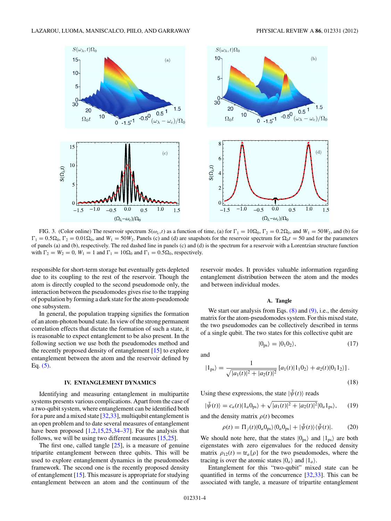<span id="page-4-0"></span>

FIG. 3. (Color online) The reservoir spectrum  $S(\omega_{\lambda}, t)$  as a function of time, (a) for  $\Gamma_1 = 10\Omega_0$ ,  $\Gamma_2 = 0.2\Omega_0$ , and  $W_1 = 50W_2$ , and (b) for  $\Gamma_1 = 0.5\Omega_0$ ,  $\Gamma_2 = 0.01\Omega_0$ , and  $W_1 = 50W_2$ . Panels (c) and (d) are snapshots for the reservoir spectrum for  $\Omega_0 t = 50$  and for the parameters of panels (a) and (b), respectively. The red dashed line in panels (c) and (d) is the spectrum for a reservoir with a Lorentzian structure function with  $\Gamma_2 = W_2 = 0$ ,  $W_1 = 1$  and  $\Gamma_1 = 10\Omega_0$  and  $\Gamma_1 = 0.5\Omega_0$ , respectively.

responsible for short-term storage but eventually gets depleted due to its coupling to the rest of the reservoir. Though the atom is directly coupled to the second pseudomode only, the interaction between the pseudomodes gives rise to the trapping of population by forming a dark state for the atom-pseudomode one subsystem.

In general, the population trapping signifies the formation of an atom-photon bound state. In view of the strong permanent correlation effects that dictate the formation of such a state, it is reasonable to expect entanglement to be also present. In the following section we use both the pseudomodes method and the recently proposed density of entanglement [\[15\]](#page-8-0) to explore entanglement between the atom and the reservoir defined by Eq.  $(5)$ .

#### **IV. ENTANGLEMENT DYNAMICS**

Identifying and measuring entanglement in multipartite systems presents various complications. Apart from the case of a two-qubit system, where entanglement can be identified both for a pure and a mixed state [\[32,33\]](#page-8-0), multiqubit entanglement is an open problem and to date several measures of entanglement have been proposed  $[1,2,15,25,34-37]$ . For the analysis that follows, we will be using two different measures [\[15,25\]](#page-8-0).

The first one, called tangle  $[25]$ , is a measure of genuine tripartite entanglement between three qubits. This will be used to explore entanglement dynamics in the pseudomodes framework. The second one is the recently proposed density of entanglement [\[15\]](#page-8-0). This measure is appropriate for studying entanglement between an atom and the continuum of the

reservoir modes. It provides valuable information regarding entanglement distribution between the atom and the modes and between individual modes.

#### **A. Tangle**

We start our analysis from Eqs.  $(8)$  and  $(9)$ , i.e., the density matrix for the atom-pseudomodes system. For this mixed state, the two pseudomodes can be collectively described in terms of a single qubit. The two states for this collective qubit are

$$
|0_{\rm ps}\rangle = |0_1 0_2\rangle, \tag{17}
$$

and

$$
|1_{\text{ps}}\rangle = \frac{1}{\sqrt{|a_1(t)|^2 + |a_2(t)|^2}} \left[a_1(t)|1_10_2\right] + a_2(t)|0_11_2\rangle.
$$
\n(18)

Using these expressions, the state  $|\tilde{\psi}(t)\rangle$  reads

$$
|\tilde{\psi}(t)\rangle = c_a(t)|1_a 0_{\text{ps}}\rangle + \sqrt{|a_1(t)|^2 + |a_2(t)|^2} |0_a 1_{\text{ps}}\rangle, \qquad (19)
$$

and the density matrix  $\rho(t)$  becomes

$$
\rho(t) = \Pi_j(t) |0_a 0_{\text{ps}}\rangle \langle 0_a 0_{\text{ps}}| + |\tilde{\psi}(t)\rangle \langle \tilde{\psi}(t)|. \tag{20}
$$

We should note here, that the states  $|0_{ps}\rangle$  and  $|1_{ps}\rangle$  are both eigenstates with zero eigenvalues for the reduced density matrix  $\rho_{12}(t) = \text{tr}_a\{\rho\}$  for the two pseudomodes, where the tracing is over the atomic states  $|0_a\rangle$  and  $|1_a\rangle$ .

Entanglement for this "two-qubit" mixed state can be quantified in terms of the concurrence [\[32,33\]](#page-8-0). This can be associated with tangle, a measure of tripartite entanglement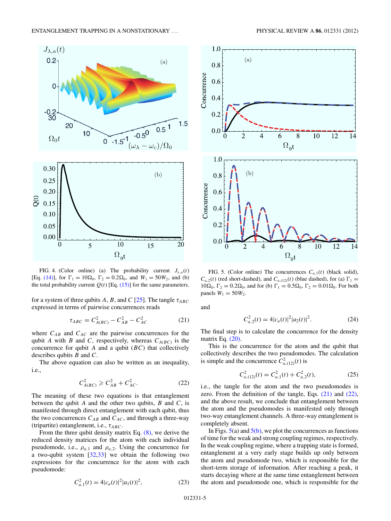<span id="page-5-0"></span>

FIG. 4. (Color online) (a) The probability current  $J_{\lambda,a}(t)$ [Eq. [\(14\)\]](#page-2-0), for  $\Gamma_1 = 10\Omega_0$ ,  $\Gamma_2 = 0.2\Omega_0$ , and  $W_1 = 50W_2$ , and (b) the total probability current  $Q(t)$  [Eq. [\(15\)\]](#page-2-0) for the same parameters.

for a system of three qubits A, B, and C [\[25\]](#page-8-0). The tangle  $\tau_{ABC}$ expressed in terms of pairwise concurrences reads

$$
\tau_{ABC} = C_{A(BC)}^2 - C_{AB}^2 - C_{AC}^2 \tag{21}
$$

where  $C_{AB}$  and  $C_{AC}$  are the pairwise concurrences for the qubit A with B and C, respectively, whereas  $C_{A(BC)}$  is the concurrence for qubit  $A$  and a qubit  $(BC)$  that collectively describes qubits  $B$  and  $C$ .

The above equation can also be written as an inequality, i.e.,

$$
C_{A(BC)}^2 \geqslant C_{AB}^2 + C_{AC}^2. \tag{22}
$$

The meaning of these two equations is that entanglement between the qubit  $A$  and the other two qubits,  $B$  and  $C$ , is manifested through direct entanglement with each qubit, thus the two concurrences  $C_{AB}$  and  $C_{AC}$ , and through a three-way (tripartite) entanglement, i.e.,  $\tau_{ABC}$ .

From the three qubit density matrix Eq. [\(8\),](#page-1-0) we derive the reduced density matrices for the atom with each individual pseudomode, i.e.,  $\rho_{a,1}$  and  $\rho_{a,2}$ . Using the concurrence for a two-qubit system  $[32,33]$  we obtain the following two expressions for the concurrence for the atom with each pseudomode:

$$
C_{a,1}^2(t) = 4|c_a(t)|^2|a_1(t)|^2,
$$
\n(23)



FIG. 5. (Color online) The concurrences  $C_{a,1}(t)$  (black solid),  $C_{a,2}(t)$  (red short-dashed), and  $C_{a,(12)}(t)$  (blue dashed), for (a)  $\Gamma_1 =$  $10\Omega_0$ ,  $\Gamma_2 = 0.2\Omega_0$ , and for (b)  $\Gamma_1 = 0.5\Omega_0$ ,  $\Gamma_2 = 0.01\Omega_0$ . For both panels  $W_1 = 50W_2$ .

and

$$
C_{a,2}^2(t) = 4|c_a(t)|^2|a_2(t)|^2.
$$
 (24)

The final step is to calculate the concurrence for the density matrix Eq. [\(20\).](#page-3-0)

This is the concurrence for the atom and the qubit that collectively describes the two pseudomodes. The calculation is simple and the concurrence  $C_{a,(12)}^2(t)$  is

$$
C_{a,(12)}^2(t) = C_{a,1}^2(t) + C_{a,2}^2(t),
$$
\n(25)

i.e., the tangle for the atom and the two pseudomodes is zero. From the definition of the tangle, Eqs.  $(21)$  and  $(22)$ , and the above result, we conclude that entanglement between the atom and the pseudomodes is manifested only through two-way entanglement channels. A three-way entanglement is completely absent.

In Figs.  $5(a)$  $5(a)$  and  $5(b)$ , we plot the concurrences as functions of time for the weak and strong coupling regimes, respectively. In the weak coupling regime, where a trapping state is formed, entanglement at a very early stage builds up only between the atom and pseudomode two, which is responsible for the short-term storage of information. After reaching a peak, it starts decaying where at the same time entanglement between the atom and pseudomode one, which is responsible for the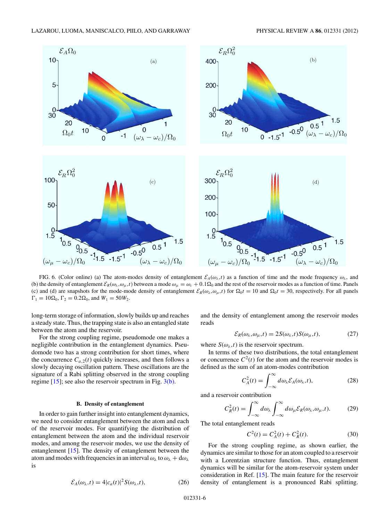<span id="page-6-0"></span>

FIG. 6. (Color online) (a) The atom-modes density of entanglement  $\mathcal{E}_A(\omega_\lambda,t)$  as a function of time and the mode frequency  $\omega_\lambda$ , and (b) the density of entanglement  $\mathcal{E}_R(\omega_\lambda, \omega_\mu, t)$  between a mode  $\omega_\mu = \omega_c + 0.1 \Omega_0$  and the rest of the reservoir modes as a function of time. Panels (c) and (d) are snapshots for the mode-mode density of entanglement  $\mathcal{E}_R(\omega_\lambda, \omega_\mu, t)$  for  $\Omega_0 t = 10$  and  $\Omega_0 t = 30$ , respectively. For all panels  $\Gamma_1 = 10\Omega_0, \Gamma_2 = 0.2\Omega_0$ , and  $W_1 = 50W_2$ .

long-term storage of information, slowly builds up and reaches a steady state. Thus, the trapping state is also an entangled state between the atom and the reservoir.

For the strong coupling regime, pseudomode one makes a negligible contribution in the entanglement dynamics. Pseudomode two has a strong contribution for short times, where the concurrence  $C_{a,2}(t)$  quickly increases, and then follows a slowly decaying oscillation pattern. These oscillations are the signature of a Rabi splitting observed in the strong coupling regime [\[15\]](#page-8-0); see also the reservoir spectrum in Fig. [3\(b\).](#page-3-0)

#### **B. Density of entanglement**

In order to gain further insight into entanglement dynamics, we need to consider entanglement between the atom and each of the reservoir modes. For quantifying the distribution of entanglement between the atom and the individual reservoir modes, and among the reservoir modes, we use the density of entanglement [\[15\]](#page-8-0). The density of entanglement between the atom and modes with frequencies in an interval  $\omega_{\lambda}$  to  $\omega_{\lambda} + d\omega_{\lambda}$ is

$$
\mathcal{E}_A(\omega_\lambda, t) = 4|c_a(t)|^2 S(\omega_\lambda, t), \tag{26}
$$

and the density of entanglement among the reservoir modes reads

$$
\mathcal{E}_R(\omega_\lambda, \omega_\mu, t) = 2S(\omega_\lambda, t)S(\omega_\mu, t),\tag{27}
$$

where  $S(\omega_{\lambda},t)$  is the reservoir spectrum.

In terms of these two distributions, the total entanglement or concurrence  $C^2(t)$  for the atom and the reservoir modes is defined as the sum of an atom-modes contribution

$$
C_A^2(t) = \int_{-\infty}^{\infty} d\omega_\lambda \mathcal{E}_A(\omega_\lambda, t), \tag{28}
$$

and a reservoir contribution

$$
C_R^2(t) = \int_{-\infty}^{\infty} d\omega_\lambda \int_{-\infty}^{\infty} d\omega_\mu \mathcal{E}_R(\omega_\lambda, \omega_\mu, t). \tag{29}
$$

The total entanglement reads

$$
C^2(t) = C_A^2(t) + C_R^2(t).
$$
 (30)

For the strong coupling regime, as shown earlier, the dynamics are similar to those for an atom coupled to a reservoir with a Lorentzian structure function. Thus, entanglement dynamics will be similar for the atom-reservoir system under consideration in Ref. [\[15\]](#page-8-0). The main feature for the reservoir density of entanglement is a pronounced Rabi splitting.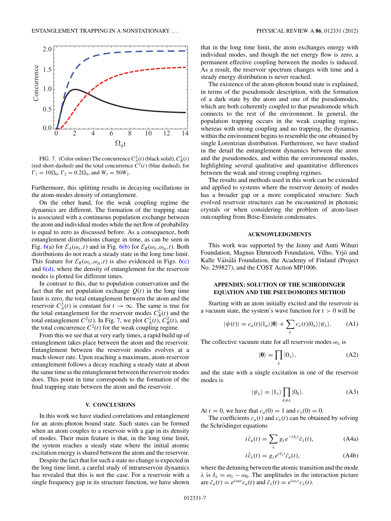<span id="page-7-0"></span>

FIG. 7. (Color online) The concurrence  $C_A^2(t)$  (black solid),  $C_R^2(t)$ (red short-dashed) and the total concurrence  $C^2(t)$  (blue dashed), for  $\Gamma_1 = 10\Omega_0, \Gamma_2 = 0.2\Omega_0, \text{ and } W_1 = 50W_2.$ 

Furthermore, this splitting results in decaying oscillations in the atom-modes density of entanglement.

On the other hand, for the weak coupling regime the dynamics are different. The formation of the trapping state is associated with a continuous population exchange between the atom and individual modes while the net flow of probability is equal to zero as discussed before. As a consequence, both entanglement distributions change in time, as can be seen in Fig. [6\(](#page-5-0)a) for  $\mathcal{E}_A(\omega_\lambda,t)$  and in Fig. [6\(b\)](#page-5-0) for  $\mathcal{E}_R(\omega_\lambda,\omega_\mu,t)$ . Both distributions do not reach a steady state in the long time limit. This feature for  $\mathcal{E}_R(\omega_\lambda, \omega_\mu, t)$  is also evidenced in Figs. [6\(c\)](#page-5-0) and  $6(d)$ , where the density of entanglement for the reservoir modes is plotted for different times.

In contrast to this, due to population conservation and the fact that the net population exchange  $Q(t)$  in the long time limit is zero, the total entanglement between the atom and the reservoir  $C_A^2(t)$  is constant for  $t \to \infty$ . The same is true for the total entanglement for the reservoir modes  $C_R^2(t)$  and the total entanglement  $C^2(t)$ . In Fig. [7,](#page-6-0) we plot  $C_A^2(t)$ ,  $C_R^2(t)$ , and the total concurrence  $C^2(t)$  for the weak coupling regime.

From this we see that at very early times, a rapid build up of entanglement takes place between the atom and the reservoir. Entanglement between the reservoir modes evolves at a much slower rate. Upon reaching a maximum, atom-reservoir entanglement follows a decay reaching a steady state at about the same time as the entanglement between the reservoir modes does. This point in time corresponds to the formation of the final trapping state between the atom and the reservoir.

#### **V. CONCLUSIONS**

In this work we have studied correlations and entanglement for an atom-photon bound state. Such states can be formed when an atom couples to a reservoir with a gap in its density of modes. Their main feature is that, in the long time limit, the system reaches a steady state where the initial atomic excitation energy is shared between the atom and the reservoir.

Despite the fact that for such a state no change is expected in the long time limit, a careful study of intrareservoir dynamics has revealed that this is not the case. For a reservoir with a single frequency gap in its structure function, we have shown that in the long time limit, the atom exchanges energy with individual modes, and though the net energy flow is zero, a permanent effective coupling between the modes is induced. As a result, the reservoir spectrum changes with time and a steady energy distribution is never reached.

The existence of the atom-photon bound state is explained, in terms of the pseudomode description, with the formation of a dark state by the atom and one of the pseudomodes, which are both coherently coupled to that pseudomode which connects to the rest of the environment. In general, the population trapping occurs in the weak coupling regime, whereas with strong coupling and no trapping, the dynamics within the environment begins to resemble the one obtained by single Lorentzian distribution. Furthermore, we have studied in the detail the entanglement dynamics between the atom and the pseudomodes, and within the environmental modes, highlighting several qualitative and quantitative differences between the weak and strong coupling regimes.

The results and methods used in this work can be extended and applied to systems where the reservoir density of modes has a broader gap or a more complicated structure. Such evolved reservoir structures can be encountered in photonic crystals or when considering the problem of atom-laser outcoupling from Bose-Einstein condensates.

#### **ACKNOWLEDGMENTS**

This work was supported by the Jenny and Antti Wihuri Foundation, Magnus Ehrnrooth Foundation, Vilho, Yrjö and Kalle Väisälä Foundation, the Academy of Finland (Project No. 259827), and the COST Action MP1006.

#### **APPENDIX: SOLUTION OF THE SCHRODINGER ¨ EQUATION AND THE PSEUDOMODES METHOD**

Starting with an atom initially excited and the reservoir in a vacuum state, the system's wave function for  $t > 0$  will be

$$
|\psi(t)\rangle = c_a(t)|1_a\rangle|\mathbf{0}\rangle + \sum_{\lambda} c_{\lambda}(t)|0_a\rangle|\psi_{\lambda}\rangle. \tag{A1}
$$

The collective vacuum state for all reservoir modes  $\omega_{\lambda}$  is

$$
|0\rangle = \prod_{\lambda} |0_{\lambda}\rangle, \tag{A2}
$$

and the state with a single excitation in one of the reservoir modes is

$$
|\psi_{\lambda}\rangle = |1_{\lambda}\rangle \prod_{k \neq \lambda} |0_k\rangle.
$$
 (A3)

At  $t = 0$ , we have that  $c_a(0) = 1$  and  $c_\lambda(0) = 0$ .

i

The coefficients  $c_a(t)$  and  $c_{\lambda}(t)$  can be obtained by solving the Schrödinger equations

$$
i\dot{\tilde{c}}_a(t) = \sum_{\lambda} g_{\lambda} e^{-i\delta_{\lambda}t} \tilde{c}_{\lambda}(t), \qquad (A4a)
$$

$$
\dot{\tilde{c}}_{\lambda}(t) = g_{\lambda} e^{i\delta_{\lambda}t} \tilde{c}_a(t), \tag{A4b}
$$

where the detuning between the atomic transition and the mode λ is  $\delta_{\lambda} = \omega_{\lambda} - \omega_0$ . The amplitudes in the interaction picture are  $\tilde{c}_a(t) = e^{i\omega_0 t} c_a(t)$  and  $\tilde{c}_\lambda(t) = e^{i\omega_\lambda t} c_\lambda(t)$ .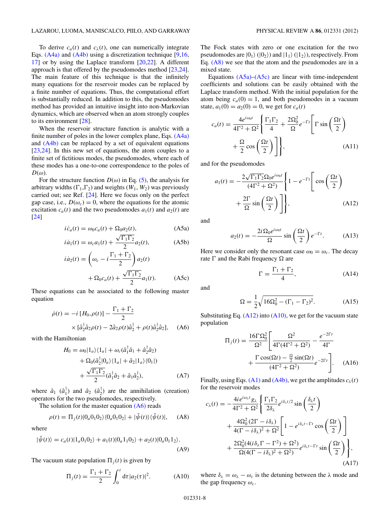<span id="page-8-0"></span>To derive  $c_a(t)$  and  $c_{\lambda}(t)$ , one can numerically integrate Eqs. [\(A4a\)](#page-6-0) and [\(A4b\)](#page-6-0) using a discretization technique [9,16, 17] or by using the Laplace transform [20,22]. A different approach is that offered by the pseudomodes method [23,24]. The main feature of this technique is that the infinitely many equations for the reservoir modes can be replaced by a finite number of equations. Thus, the computational effort is substantially reduced. In addition to this, the pseudomodes method has provided an intuitive insight into non-Markovian dynamics, which are observed when an atom strongly couples to its environment [28].

When the reservoir structure function is analytic with a finite number of poles in the lower complex plane, Eqs. [\(A4a\)](#page-6-0) and [\(A4b\)](#page-6-0) can be replaced by a set of equivalent equations [23,24]. In this new set of equations, the atom couples to a finite set of fictitious modes, the pseudomodes, where each of these modes has a one-to-one correspondence to the poles of  $D(\omega)$ .

For the structure function  $D(\omega)$  in Eq. [\(5\),](#page-1-0) the analysis for arbitrary widths  $(\Gamma_1, \Gamma_2)$  and weights  $(W_1, W_2)$  was previously carried out; see Ref. [24]. Here we focus only on the perfect gap case, i.e.,  $D(\omega_c) = 0$ , where the equations for the atomic excitation  $c_a(t)$  and the two pseudomodes  $a_1(t)$  and  $a_2(t)$  are [24]

$$
i\dot{c}_a(t) = \omega_0 c_a(t) + \Omega_0 a_2(t), \tag{A5a}
$$

$$
i\dot{a}_1(t) = \omega_c a_1(t) + \frac{\sqrt{\Gamma_1 \Gamma_2}}{2} a_2(t),
$$
 (A5b)

$$
\begin{aligned}\ni\dot{a}_2(t) &= \left(\omega_c - i\frac{\Gamma_1 + \Gamma_2}{2}\right) a_2(t) \\
&\quad + \Omega_0 c_a(t) + \frac{\sqrt{\Gamma_1 \Gamma_2}}{2} a_1(t).\n\end{aligned} \tag{A5c}
$$

These equations can be associated to the following master equation

$$
\dot{\rho}(t) = -i [H_0, \rho(t)] - \frac{\Gamma_1 + \Gamma_2}{2}
$$
  
 
$$
\times [\hat{a}_2^{\dagger} \hat{a}_2 \rho(t) - 2\hat{a}_2 \rho(t) \hat{a}_2^{\dagger} + \rho(t) \hat{a}_2^{\dagger} \hat{a}_2], \quad (A6)
$$

with the Hamiltonian

$$
H_0 = \omega_0 |1_a\rangle\langle 1_a| + \omega_c(\hat{a}_1^\dagger \hat{a}_1 + \hat{a}_2^\dagger \hat{a}_2)
$$
  
+ 
$$
\Omega_0(\hat{a}_2^\dagger |0_a\rangle\langle 1_a| + \hat{a}_2 |1_a\rangle\langle 0_1|)
$$
  
+ 
$$
\frac{\sqrt{\Gamma_1 \Gamma_2}}{2}(\hat{a}_1^\dagger \hat{a}_2 + \hat{a}_1 \hat{a}_2^\dagger),
$$
 (A7)

where  $\hat{a}_1$  ( $\hat{a}_1^{\dagger}$ ) and  $\hat{a}_2$  ( $\hat{a}_2^{\dagger}$ ) are the annihilation (creation) operators for the two pseudomodes, respectively.

The solution for the master equation  $(A6)$  reads

$$
\rho(t) = \Pi_j(t)|0_a 0_1 0_2\rangle\langle0_a 0_1 0_2| + |\tilde{\psi}(t)\rangle\langle\tilde{\psi}(t)|, \quad (A8)
$$

where

$$
|\tilde{\psi}(t)\rangle = c_a(t)|1_a0_10_2\rangle + a_1(t)|0_a1_10_2\rangle + a_2(t)|0_a0_11_2\rangle.
$$
\n(A9)

The vacuum state population  $\Pi_i(t)$  is given by

$$
\Pi_j(t) = \frac{\Gamma_1 + \Gamma_2}{2} \int_0^t d\tau |a_2(\tau)|^2.
$$
 (A10)

The Fock states with zero or one excitation for the two pseudomodes are  $|0_1\rangle$  ( $|0_2\rangle$ ) and  $|1_1\rangle$  ( $|1_2\rangle$ ), respectively. From Eq.  $(A8)$  we see that the atom and the pseudomodes are in a mixed state.

Equations  $(A5a)$ – $(A5c)$  are linear with time-independent coefficients and solutions can be easily obtained with the Laplace transform method. With the initial population for the atom being  $c_a(0) = 1$ , and both pseudomodes in a vacuum state,  $a_1(0) = a_2(0) = 0$ , we get for  $c_a(t)$ 

$$
c_a(t) = \frac{4e^{i\omega_0 t}}{4\Gamma^2 + \Omega^2} \left\{ \frac{\Gamma_1 \Gamma_2}{4} + \frac{2\Omega_0^2}{\Omega} e^{-\Gamma t} \left[ \Gamma \sin\left(\frac{\Omega t}{2}\right) + \frac{\Omega}{2} \cos\left(\frac{\Omega t}{2}\right) \right] \right\},\tag{A11}
$$

and for the pseudomodes

$$
a_1(t) = -\frac{2\sqrt{\Gamma_1\Gamma_2}\Omega_0 e^{i\omega_0 t}}{(4\Gamma^2 + \Omega^2)} \left\{ 1 - e^{-\Gamma t} \left[ \cos\left(\frac{\Omega t}{2}\right) + \frac{2\Gamma}{\Omega} \sin\left(\frac{\Omega t}{2}\right) \right] \right\},\tag{A12}
$$

and

$$
a_2(t) = -\frac{2i\Omega_0 e^{i\omega_0 t}}{\Omega} \sin\left(\frac{\Omega t}{2}\right) e^{-\Gamma t}.
$$
 (A13)

Here we consider only the resonant case  $\omega_0 = \omega_c$ . The decay rate  $\Gamma$  and the Rabi frequency  $\Omega$  are

$$
\Gamma = \frac{\Gamma_1 + \Gamma_2}{4},\tag{A14}
$$

and

$$
\Omega = \frac{1}{2} \sqrt{16\Omega_0^2 - (\Gamma_1 - \Gamma_2)^2}.
$$
 (A15)

Substituting Eq.  $(A12)$  into  $(A10)$ , we get for the vacuum state population

$$
\Pi_j(t) = \frac{16\Gamma\Omega_0^2}{\Omega^2} \left[ \frac{\Omega^2}{4\Gamma(4\Gamma^2 + \Omega^2)} - \frac{e^{-2\Gamma t}}{4\Gamma} + \frac{\Gamma\cos(\Omega t) - \frac{\Omega}{2}\sin(\Omega t)}{(4\Gamma^2 + \Omega^2)} e^{-2\Gamma t} \right].
$$
 (A16)

Finally, using Eqs. [\(A1\)](#page-6-0) and [\(A4b\),](#page-6-0) we get the amplitudes  $c_{\lambda}(t)$ for the reservoir modes

$$
c_{\lambda}(t) = -\frac{4ie^{i\omega_{\lambda}t}g_{\lambda}}{4\Gamma^2 + \Omega^2} \left\{ \frac{\Gamma_1\Gamma_2}{2\delta_{\lambda}} e^{i\delta_{\lambda}t/2} \sin\left(\frac{\delta_{\lambda}t}{2}\right) \right.+ \frac{4\Omega_0^2(2\Gamma - i\delta_{\lambda})}{4(\Gamma - i\delta_{\lambda})^2 + \Omega^2} \left[ 1 - e^{i\delta_{\lambda}t - \Gamma t} \cos\left(\frac{\Omega t}{2}\right) \right.+ \frac{2\Omega_0^2(4(i\delta_{\lambda}\Gamma - \Gamma^2) + \Omega^2)}{\Omega(4(\Gamma - i\delta_{\lambda})^2 + \Omega^2)} e^{i\delta_{\lambda}t - \Gamma t} \sin\left(\frac{\Omega t}{2}\right), \tag{A17}
$$

where  $\delta_{\lambda} = \omega_{\lambda} - \omega_c$  is the detuning between the  $\lambda$  mode and the gap frequency  $\omega_c$ .